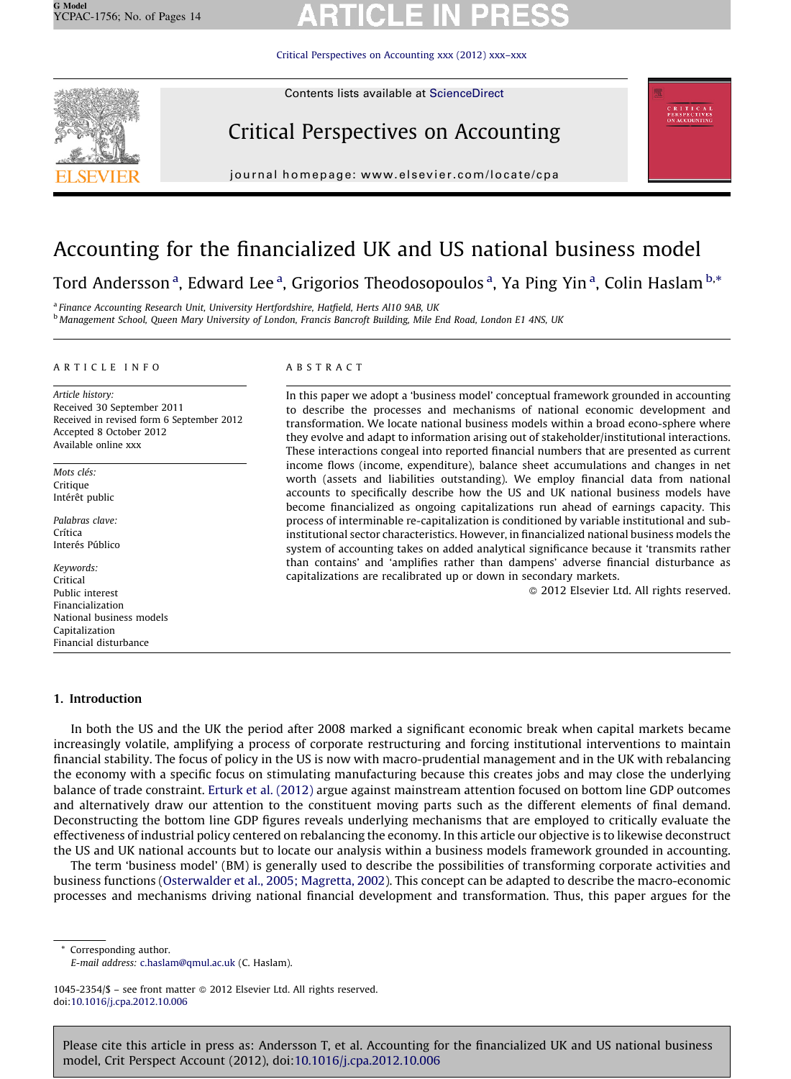Critical [Perspectives](http://dx.doi.org/10.1016/j.cpa.2012.10.006) on Accounting xxx (2012) xxx–xxx



Contents lists available at [ScienceDirect](http://www.sciencedirect.com/science/journal/10452354)

# Critical Perspectives on Accounting



journal homepage: www.elsevier.com/locate/cpa

# Accounting for the financialized UK and US national business model

Tord Andersson <sup>a</sup>, Edward Lee <sup>a</sup>, Grigorios Theodosopoulos <sup>a</sup>, Ya Ping Yin <sup>a</sup>, Colin Haslam <sup>b,</sup>\*

<sup>a</sup> Finance Accounting Research Unit, University Hertfordshire, Hatfield, Herts Al10 9AB, UK <sup>b</sup> Management School, Queen Mary University of London, Francis Bancroft Building, Mile End Road, London E1 4NS, UK

A R T I C L E I N F O

Article history: Received 30 September 2011 Received in revised form 6 September 2012 Accepted 8 October 2012 Available online xxx

Mots clés: **Critique** Intérêt public

Palabras clave: Crítica Interés Público

Keywords: Critical Public interest Financialization National business models Capitalization Financial disturbance

## A B S T R A C T

In this paper we adopt a 'business model' conceptual framework grounded in accounting to describe the processes and mechanisms of national economic development and transformation. We locate national business models within a broad econo-sphere where they evolve and adapt to information arising out of stakeholder/institutional interactions. These interactions congeal into reported financial numbers that are presented as current income flows (income, expenditure), balance sheet accumulations and changes in net worth (assets and liabilities outstanding). We employ financial data from national accounts to specifically describe how the US and UK national business models have become financialized as ongoing capitalizations run ahead of earnings capacity. This process of interminable re-capitalization is conditioned by variable institutional and subinstitutional sector characteristics. However, in financialized national business models the system of accounting takes on added analytical significance because it 'transmits rather than contains' and 'amplifies rather than dampens' adverse financial disturbance as capitalizations are recalibrated up or down in secondary markets.

- 2012 Elsevier Ltd. All rights reserved.

## 1. Introduction

In both the US and the UK the period after 2008 marked a significant economic break when capital markets became increasingly volatile, amplifying a process of corporate restructuring and forcing institutional interventions to maintain financial stability. The focus of policy in the US is now with macro-prudential management and in the UK with rebalancing the economy with a specific focus on stimulating manufacturing because this creates jobs and may close the underlying balance of trade constraint. Erturk et al. [\(2012\)](#page--1-0) argue against mainstream attention focused on bottom line GDP outcomes and alternatively draw our attention to the constituent moving parts such as the different elements of final demand. Deconstructing the bottom line GDP figures reveals underlying mechanisms that are employed to critically evaluate the effectiveness of industrial policy centered on rebalancing the economy. In this article our objective is to likewise deconstruct the US and UK national accounts but to locate our analysis within a business models framework grounded in accounting.

The term 'business model' (BM) is generally used to describe the possibilities of transforming corporate activities and business functions [\(Osterwalder](#page--1-0) et al., 2005; Magretta, 2002). This concept can be adapted to describe the macro-economic processes and mechanisms driving national financial development and transformation. Thus, this paper argues for the

Corresponding author.

E-mail address: [c.haslam@qmul.ac.uk](mailto:c.haslam@qmul.ac.uk) (C. Haslam).

Please cite this article in press as: Andersson T, et al. Accounting for the financialized UK and US national business model, Crit Perspect Account (2012), doi:[10.1016/j.cpa.2012.10.006](http://dx.doi.org/10.1016/j.cpa.2012.10.006)

<sup>1045-2354/\$ –</sup> see front matter © 2012 Elsevier Ltd. All rights reserved. doi:[10.1016/j.cpa.2012.10.006](http://dx.doi.org/10.1016/j.cpa.2012.10.006)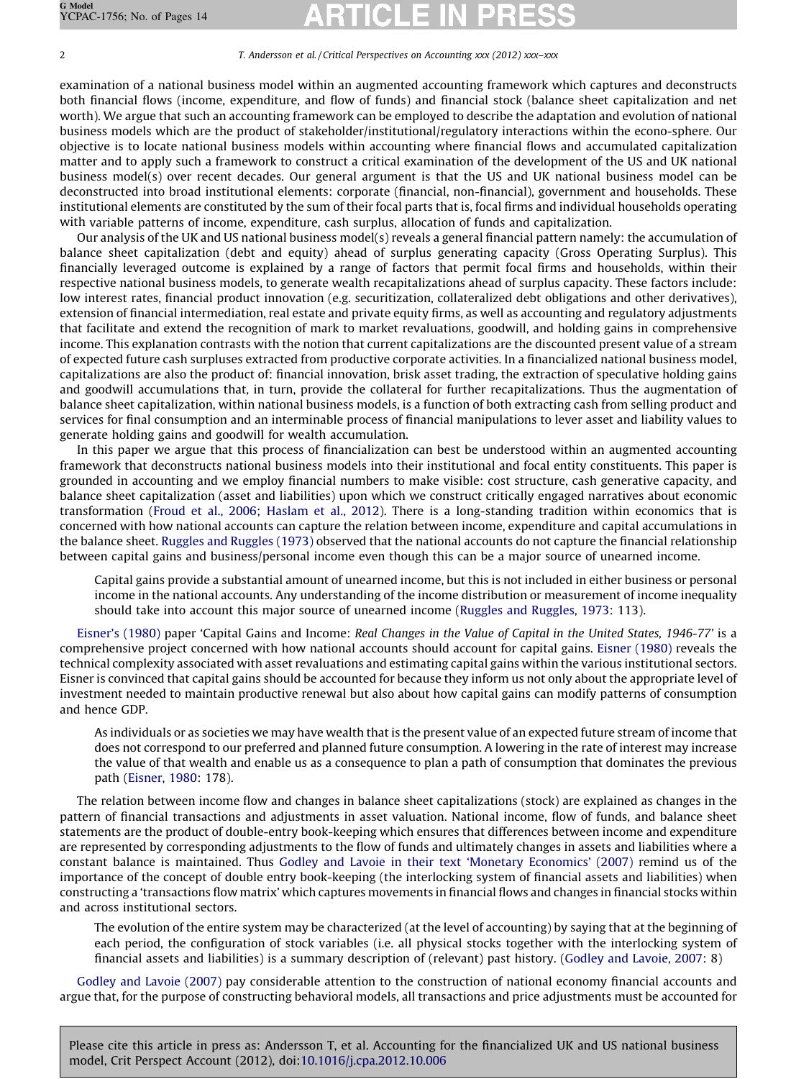## 2 T. Andersson et al. / Critical Perspectives on Accounting xxx (2012) xxx-xxx

examination of a national business model within an augmented accounting framework which captures and deconstructs both financial flows (income, expenditure, and flow of funds) and financial stock (balance sheet capitalization and net worth). We argue that such an accounting framework can be employed to describe the adaptation and evolution of national business models which are the product of stakeholder/institutional/regulatory interactions within the econo-sphere. Our objective is to locate national business models within accounting where financial flows and accumulated capitalization matter and to apply such a framework to construct a critical examination of the development of the US and UK national business model(s) over recent decades. Our general argument is that the US and UK national business model can be deconstructed into broad institutional elements: corporate (financial, non-financial), government and households. These institutional elements are constituted by the sum of their focal parts that is, focal firms and individual households operating with variable patterns of income, expenditure, cash surplus, allocation of funds and capitalization.

Our analysis of the UK and US national business model(s) reveals a general financial pattern namely: the accumulation of balance sheet capitalization (debt and equity) ahead of surplus generating capacity (Gross Operating Surplus). This financially leveraged outcome is explained by a range of factors that permit focal firms and households, within their respective national business models, to generate wealth recapitalizations ahead of surplus capacity. These factors include: low interest rates, financial product innovation (e.g. securitization, collateralized debt obligations and other derivatives), extension of financial intermediation, real estate and private equity firms, as well as accounting and regulatory adjustments that facilitate and extend the recognition of mark to market revaluations, goodwill, and holding gains in comprehensive income. This explanation contrasts with the notion that current capitalizations are the discounted present value of a stream of expected future cash surpluses extracted from productive corporate activities. In a financialized national business model, capitalizations are also the product of: financial innovation, brisk asset trading, the extraction of speculative holding gains and goodwill accumulations that, in turn, provide the collateral for further recapitalizations. Thus the augmentation of balance sheet capitalization, within national business models, is a function of both extracting cash from selling product and services for final consumption and an interminable process of financial manipulations to lever asset and liability values to generate holding gains and goodwill for wealth accumulation.

In this paper we argue that this process of financialization can best be understood within an augmented accounting framework that deconstructs national business models into their institutional and focal entity constituents. This paper is grounded in accounting and we employ financial numbers to make visible: cost structure, cash generative capacity, and balance sheet capitalization (asset and liabilities) upon which we construct critically engaged narratives about economic transformation (Froud et al., 2006; [Haslam](#page--1-0) et al., 2012). There is a long-standing tradition within economics that is concerned with how national accounts can capture the relation between income, expenditure and capital accumulations in the balance sheet. [Ruggles](#page--1-0) and Ruggles (1973) observed that the national accounts do not capture the financial relationship between capital gains and business/personal income even though this can be a major source of unearned income.

Capital gains provide a substantial amount of unearned income, but this is not included in either business or personal income in the national accounts. Any understanding of the income distribution or measurement of income inequality should take into account this major source of unearned income (Ruggles and [Ruggles,](#page--1-0) 1973: 113).

[Eisner's](#page--1-0) (1980) paper 'Capital Gains and Income: Real Changes in the Value of Capital in the United States, 1946-77' is a comprehensive project concerned with how national accounts should account for capital gains. Eisner [\(1980\)](#page--1-0) reveals the technical complexity associated with asset revaluations and estimating capital gains within the various institutional sectors. Eisner is convinced that capital gains should be accounted for because they inform us not only about the appropriate level of investment needed to maintain productive renewal but also about how capital gains can modify patterns of consumption and hence GDP.

As individuals or as societies we may have wealth that is the present value of an expected future stream of income that does not correspond to our preferred and planned future consumption. A lowering in the rate of interest may increase the value of that wealth and enable us as a consequence to plan a path of consumption that dominates the previous path [\(Eisner,](#page--1-0) 1980: 178).

The relation between income flow and changes in balance sheet capitalizations (stock) are explained as changes in the pattern of financial transactions and adjustments in asset valuation. National income, flow of funds, and balance sheet statements are the product of double-entry book-keeping which ensures that differences between income and expenditure are represented by corresponding adjustments to the flow of funds and ultimately changes in assets and liabilities where a constant balance is maintained. Thus Godley and Lavoie in their text 'Monetary [Economics'](#page--1-0) (2007) remind us of the importance of the concept of double entry book-keeping (the interlocking system of financial assets and liabilities) when constructing a 'transactions flow matrix' which captures movements in financial flows and changes in financial stocks within and across institutional sectors.

The evolution of the entire system may be characterized (at the level of accounting) by saying that at the beginning of each period, the configuration of stock variables (i.e. all physical stocks together with the interlocking system of financial assets and liabilities) is a summary description of (relevant) past history. [\(Godley](#page--1-0) and Lavoie, 2007: 8)

[Godley](#page--1-0) and Lavoie (2007) pay considerable attention to the construction of national economy financial accounts and argue that, for the purpose of constructing behavioral models, all transactions and price adjustments must be accounted for

Please cite this article in press as: Andersson T, et al. Accounting for the financialized UK and US national business model, Crit Perspect Account (2012), doi[:10.1016/j.cpa.2012.10.006](http://dx.doi.org/10.1016/j.cpa.2012.10.006)